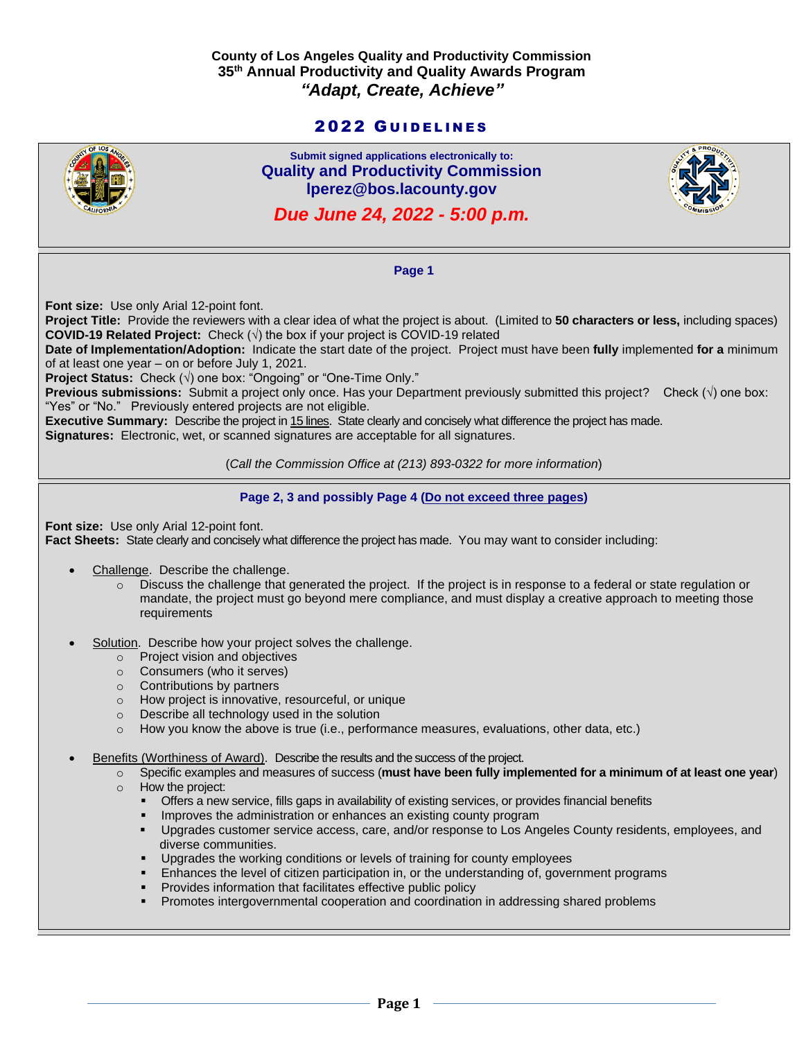## **County of Los Angeles Quality and Productivity Commission 35 th Annual Productivity and Quality Awards Program** *"Adapt, Create, Achieve"*

# 2022 GUIDELINES



**Submit signed applications electronically to: Quality and Productivity Commission lperez@bos.lacounty.gov**

*Due June 24, 2022 - 5:00 p.m.*



**Page 1**

**Font size:** Use only Arial 12-point font.

**Project Title:** Provide the reviewers with a clear idea of what the project is about. (Limited to **50 characters or less,** including spaces) **COVID-19 Related Project:** Check (√) the box if your project is COVID-19 related

**Date of Implementation/Adoption:** Indicate the start date of the project. Project must have been **fully** implemented **for a** minimum of at least one year – on or before July 1, 2021.

**Project Status:** Check (√) one box: "Ongoing" or "One-Time Only."

**Previous submissions:** Submit a project only once. Has your Department previously submitted this project?Check (√) one box: "Yes" or "No." Previously entered projects are not eligible.

**Executive Summary:** Describe the project in 15 lines. State clearly and concisely what difference the project has made.

**Signatures:** Electronic, wet, or scanned signatures are acceptable for all signatures.

(*Call the Commission Office at (213) 893-0322 for more information*)

**Page 2, 3 and possibly Page 4 (Do not exceed three pages)**

**Font size:** Use only Arial 12-point font. **Fact Sheets:** State clearly and concisely what difference the project has made. You may want to consider including:

- Challenge. Describe the challenge.
	- $\circ$  Discuss the challenge that generated the project. If the project is in response to a federal or state regulation or mandate, the project must go beyond mere compliance, and must display a creative approach to meeting those requirements
- Solution. Describe how your project solves the challenge.
	- o Project vision and objectives
	- o Consumers (who it serves)
	- o Contributions by partners
	- o How project is innovative, resourceful, or unique
	- o Describe all technology used in the solution
	- o How you know the above is true (i.e., performance measures, evaluations, other data, etc.)

Benefits (Worthiness of Award). Describe the results and the success of the project.

o Specific examples and measures of success (**must have been fully implemented for a minimum of at least one year**) o How the project:

- Offers a new service, fills gaps in availability of existing services, or provides financial benefits
- Improves the administration or enhances an existing county program
- Upgrades customer service access, care, and/or response to Los Angeles County residents, employees, and diverse communities.
- **•** Upgrades the working conditions or levels of training for county employees
- **Enhances the level of citizen participation in, or the understanding of, government programs**
- Provides information that facilitates effective public policy
- Promotes intergovernmental cooperation and coordination in addressing shared problems